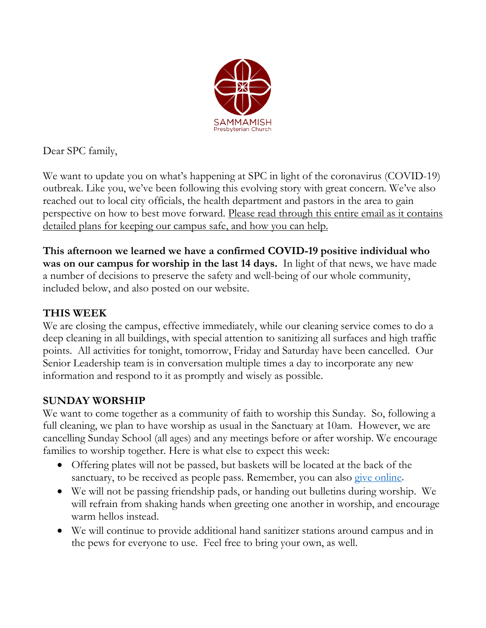

Dear SPC family,

We want to update you on what's happening at SPC in light of the coronavirus (COVID-19) outbreak. Like you, we've been following this evolving story with great concern. We've also reached out to local city officials, the health department and pastors in the area to gain perspective on how to best move forward. Please read through this entire email as it contains detailed plans for keeping our campus safe, and how you can help.

**This afternoon we learned we have a confirmed COVID-19 positive individual who was on our campus for worship in the last 14 days.** In light of that news, we have made a number of decisions to preserve the safety and well-being of our whole community, included below, and also posted on our website.

# **THIS WEEK**

We are closing the campus, effective immediately, while our cleaning service comes to do a deep cleaning in all buildings, with special attention to sanitizing all surfaces and high traffic points. All activities for tonight, tomorrow, Friday and Saturday have been cancelled. Our Senior Leadership team is in conversation multiple times a day to incorporate any new information and respond to it as promptly and wisely as possible.

# **SUNDAY WORSHIP**

We want to come together as a community of faith to worship this Sunday. So, following a full cleaning, we plan to have worship as usual in the Sanctuary at 10am. However, we are cancelling Sunday School (all ages) and any meetings before or after worship. We encourage families to worship together. Here is what else to expect this week:

- Offering plates will not be passed, but baskets will be located at the back of the sanctuary, to be received as people pass. Remember, you can also [give online.](http://spconline.org/giving/)
- We will not be passing friendship pads, or handing out bulletins during worship. We will refrain from shaking hands when greeting one another in worship, and encourage warm hellos instead.
- We will continue to provide additional hand sanitizer stations around campus and in the pews for everyone to use. Feel free to bring your own, as well.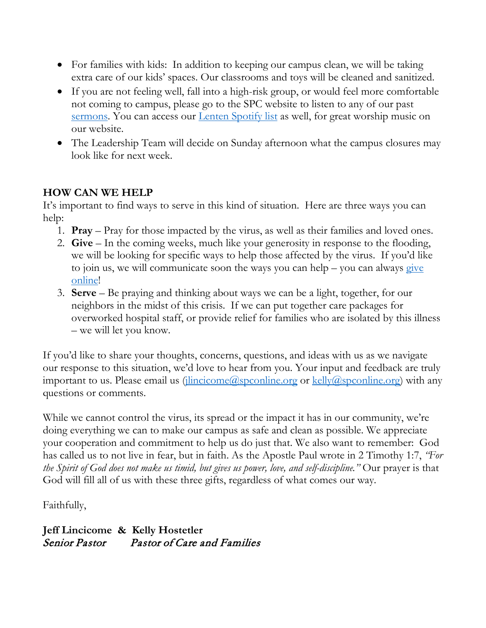- For families with kids: In addition to keeping our campus clean, we will be taking extra care of our kids' spaces. Our classrooms and toys will be cleaned and sanitized.
- If you are not feeling well, fall into a high-risk group, or would feel more comfortable not coming to campus, please go to the SPC website to listen to any of our past [sermons.](http://spconline.org/worship/sermons/) You can access our <u>Lenten Spotify list</u> as well, for great worship music on our website.
- The Leadership Team will decide on Sunday afternoon what the campus closures may look like for next week.

### **HOW CAN WE HELP**

It's important to find ways to serve in this kind of situation. Here are three ways you can help:

- 1. **Pray** Pray for those impacted by the virus, as well as their families and loved ones.
- 2. **Give**  In the coming weeks, much like your generosity in response to the flooding, we will be looking for specific ways to help those affected by the virus. If you'd like to join us, we will communicate soon the ways you can help – you can always give [online!](http://spconline.org/giving/)
- 3. **Serve** Be praying and thinking about ways we can be a light, together, for our neighbors in the midst of this crisis. If we can put together care packages for overworked hospital staff, or provide relief for families who are isolated by this illness – we will let you know.

If you'd like to share your thoughts, concerns, questions, and ideas with us as we navigate our response to this situation, we'd love to hear from you. Your input and feedback are truly important to us. Please email us  $(i$ lincicome@spconline.org or [kelly@spconline.org\)](mailto:kelly@spconline.org) with any questions or comments.

While we cannot control the virus, its spread or the impact it has in our community, we're doing everything we can to make our campus as safe and clean as possible. We appreciate your cooperation and commitment to help us do just that. We also want to remember: God has called us to not live in fear, but in faith. As the Apostle Paul wrote in 2 Timothy 1:7, *"For the Spirit of God does not make us timid, but gives us power, love, and self-discipline."* Our prayer is that God will fill all of us with these three gifts, regardless of what comes our way.

#### Faithfully,

**Jeff Lincicome & Kelly Hostetler** Senior Pastor Pastor of Care and Families